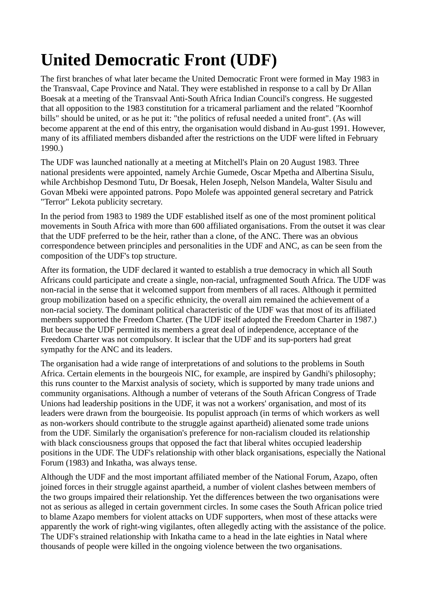## **United Democratic Front (UDF)**

The first branches of what later became the United Democratic Front were formed in May 1983 in the Transvaal, Cape Province and Natal. They were established in response to a call by Dr Allan Boesak at a meeting of the Transvaal Anti-South Africa Indian Council's congress. He suggested that all opposition to the 1983 constitution for a tricameral parliament and the related "Koornhof bills" should be united, or as he put it: "the politics of refusal needed a united front". (As will become apparent at the end of this entry, the organisation would disband in Au-gust 1991. However, many of its affiliated members disbanded after the restrictions on the UDF were lifted in February 1990.)

The UDF was launched nationally at a meeting at Mitchell's Plain on 20 August 1983. Three national presidents were appointed, namely Archie Gumede, Oscar Mpetha and Albertina Sisulu, while Archbishop Desmond Tutu, Dr Boesak, Helen Joseph, Nelson Mandela, Walter Sisulu and Govan Mbeki were appointed patrons. Popo Molefe was appointed general secretary and Patrick "Terror" Lekota publicity secretary.

In the period from 1983 to 1989 the UDF established itself as one of the most prominent political movements in South Africa with more than 600 affiliated organisations. From the outset it was clear that the UDF preferred to be the heir, rather than a clone, of the ANC. There was an obvious correspondence between principles and personalities in the UDF and ANC, as can be seen from the composition of the UDF's top structure.

After its formation, the UDF declared it wanted to establish a true democracy in which all South Africans could participate and create a single, non-racial, unfragmented South Africa. The UDF was non-racial in the sense that it welcomed support from members of all races. Although it permitted group mobilization based on a specific ethnicity, the overall aim remained the achievement of a non-racial society. The dominant political characteristic of the UDF was that most of its affiliated members supported the Freedom Charter. (The UDF itself adopted the Freedom Charter in 1987.) But because the UDF permitted its members a great deal of independence, acceptance of the Freedom Charter was not compulsory. It isclear that the UDF and its sup-porters had great sympathy for the ANC and its leaders.

The organisation had a wide range of interpretations of and solutions to the problems in South Africa. Certain elements in the bourgeois NIC, for example, are inspired by Gandhi's philosophy; this runs counter to the Marxist analysis of society, which is supported by many trade unions and community organisations. Although a number of veterans of the South African Congress of Trade Unions had leadership positions in the UDF, it was not a workers' organisation, and most of its leaders were drawn from the bourgeoisie. Its populist approach (in terms of which workers as well as non-workers should contribute to the struggle against apartheid) alienated some trade unions from the UDF. Similarly the organisation's preference for non-racialism clouded its relationship with black consciousness groups that opposed the fact that liberal whites occupied leadership positions in the UDF. The UDF's relationship with other black organisations, especially the National Forum (1983) and Inkatha, was always tense.

Although the UDF and the most important affiliated member of the National Forum, Azapo, often joined forces in their struggle against apartheid, a number of violent clashes between members of the two groups impaired their relationship. Yet the differences between the two organisations were not as serious as alleged in certain government circles. In some cases the South African police tried to blame Azapo members for violent attacks on UDF supporters, when most of these attacks were apparently the work of right-wing vigilantes, often allegedly acting with the assistance of the police. The UDF's strained relationship with Inkatha came to a head in the late eighties in Natal where thousands of people were killed in the ongoing violence between the two organisations.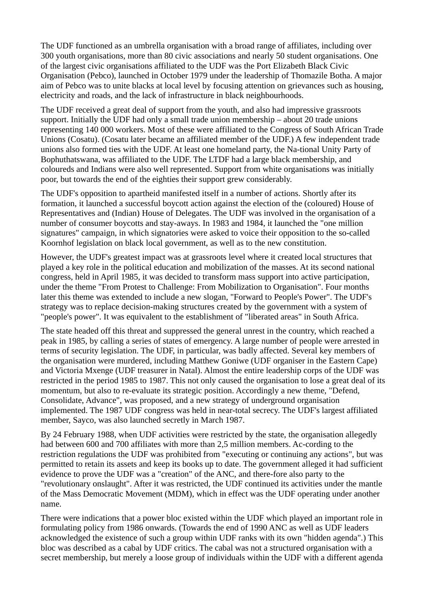The UDF functioned as an umbrella organisation with a broad range of affiliates, including over 300 youth organisations, more than 80 civic associations and nearly 50 student organisations. One of the largest civic organisations affiliated to the UDF was the Port Elizabeth Black Civic Organisation (Pebco), launched in October 1979 under the leadership of Thomazile Botha. A major aim of Pebco was to unite blacks at local level by focusing attention on grievances such as housing, electricity and roads, and the lack of infrastructure in black neighbourhoods.

The UDF received a great deal of support from the youth, and also had impressive grassroots support. Initially the UDF had only a small trade union membership – about 20 trade unions representing 140 000 workers. Most of these were affiliated to the Congress of South African Trade Unions (Cosatu). (Cosatu later became an affiliated member of the UDF.) A few independent trade unions also formed ties with the UDF. At least one homeland party, the Na-tional Unity Party of Bophuthatswana, was affiliated to the UDF. The LTDF had a large black membership, and coloureds and Indians were also well represented. Support from white organisations was initially poor, but towards the end of the eighties their support grew considerably.

The UDF's opposition to apartheid manifested itself in a number of actions. Shortly after its formation, it launched a successful boycott action against the election of the (coloured) House of Representatives and (Indian) House of Delegates. The UDF was involved in the organisation of a number of consumer boycotts and stay-aways. In 1983 and 1984, it launched the "one million signatures" campaign, in which signatories were asked to voice their opposition to the so-called Koornhof legislation on black local government, as well as to the new constitution.

However, the UDF's greatest impact was at grassroots level where it created local structures that played a key role in the political education and mobilization of the masses. At its second national congress, held in April 1985, it was decided to transform mass support into active participation, under the theme "From Protest to Challenge: From Mobilization to Organisation". Four months later this theme was extended to include a new slogan, "Forward to People's Power". The UDF's strategy was to replace decision-making structures created by the government with a system of "people's power". It was equivalent to the establishment of "liberated areas" in South Africa.

The state headed off this threat and suppressed the general unrest in the country, which reached a peak in 1985, by calling a series of states of emergency. A large number of people were arrested in terms of security legislation. The UDF, in particular, was badly affected. Several key members of the organisation were murdered, including Matthew Goniwe (UDF organiser in the Eastern Cape) and Victoria Mxenge (UDF treasurer in Natal). Almost the entire leadership corps of the UDF was restricted in the period 1985 to 1987. This not only caused the organisation to lose a great deal of its momentum, but also to re-evaluate its strategic position. Accordingly a new theme, "Defend, Consolidate, Advance", was proposed, and a new strategy of underground organisation implemented. The 1987 UDF congress was held in near-total secrecy. The UDF's largest affiliated member, Sayco, was also launched secretly in March 1987.

By 24 February 1988, when UDF activities were restricted by the state, the organisation allegedly had between 600 and 700 affiliates with more than 2,5 million members. Ac-cording to the restriction regulations the UDF was prohibited from "executing or continuing any actions", but was permitted to retain its assets and keep its books up to date. The government alleged it had sufficient evidence to prove the UDF was a "creation" of the ANC, and there-fore also party to the "revolutionary onslaught". After it was restricted, the UDF continued its activities under the mantle of the Mass Democratic Movement (MDM), which in effect was the UDF operating under another name.

There were indications that a power bloc existed within the UDF which played an important role in formulating policy from 1986 onwards. (Towards the end of 1990 ANC as well as UDF leaders acknowledged the existence of such a group within UDF ranks with its own "hidden agenda".) This bloc was described as a cabal by UDF critics. The cabal was not a structured organisation with a secret membership, but merely a loose group of individuals within the UDF with a different agenda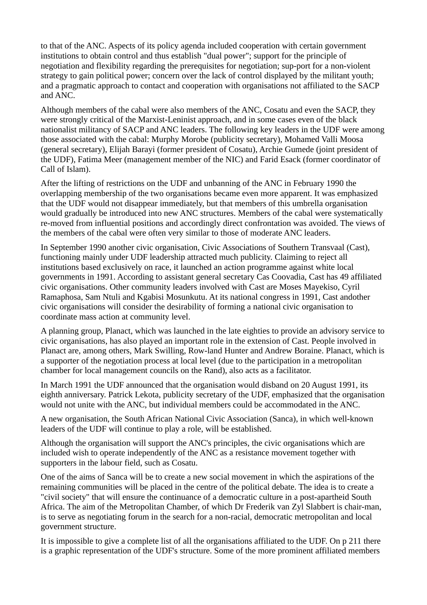to that of the ANC. Aspects of its policy agenda included cooperation with certain government institutions to obtain control and thus establish "dual power"; support for the principle of negotiation and flexibility regarding the prerequisites for negotiation; sup-port for a non-violent strategy to gain political power; concern over the lack of control displayed by the militant youth; and a pragmatic approach to contact and cooperation with organisations not affiliated to the SACP and ANC.

Although members of the cabal were also members of the ANC, Cosatu and even the SACP, they were strongly critical of the Marxist-Leninist approach, and in some cases even of the black nationalist militancy of SACP and ANC leaders. The following key leaders in the UDF were among those associated with the cabal: Murphy Morobe (publicity secretary), Mohamed Valli Moosa (general secretary), Elijah Barayi (former president of Cosatu), Archie Gumede (joint president of the UDF), Fatima Meer (management member of the NIC) and Farid Esack (former coordinator of Call of Islam).

After the lifting of restrictions on the UDF and unbanning of the ANC in February 1990 the overlapping membership of the two organisations became even more apparent. It was emphasized that the UDF would not disappear immediately, but that members of this umbrella organisation would gradually be introduced into new ANC structures. Members of the cabal were systematically re-moved from influential positions and accordingly direct confrontation was avoided. The views of the members of the cabal were often very similar to those of moderate ANC leaders.

In September 1990 another civic organisation, Civic Associations of Southern Transvaal (Cast), functioning mainly under UDF leadership attracted much publicity. Claiming to reject all institutions based exclusively on race, it launched an action programme against white local governments in 1991. According to assistant general secretary Cas Coovadia, Cast has 49 affiliated civic organisations. Other community leaders involved with Cast are Moses Mayekiso, Cyril Ramaphosa, Sam Ntuli and Kgabisi Mosunkutu. At its national congress in 1991, Cast andother civic organisations will consider the desirability of forming a national civic organisation to coordinate mass action at community level.

A planning group, Planact, which was launched in the late eighties to provide an advisory service to civic organisations, has also played an important role in the extension of Cast. People involved in Planact are, among others, Mark Swilling, Row-land Hunter and Andrew Boraine. Planact, which is a supporter of the negotiation process at local level (due to the participation in a metropolitan chamber for local management councils on the Rand), also acts as a facilitator.

In March 1991 the UDF announced that the organisation would disband on 20 August 1991, its eighth anniversary. Patrick Lekota, publicity secretary of the UDF, emphasized that the organisation would not unite with the ANC, but individual members could be accommodated in the ANC.

A new organisation, the South African National Civic Association (Sanca), in which well-known leaders of the UDF will continue to play a role, will be established.

Although the organisation will support the ANC's principles, the civic organisations which are included wish to operate independently of the ANC as a resistance movement together with supporters in the labour field, such as Cosatu.

One of the aims of Sanca will be to create a new social movement in which the aspirations of the remaining communities will be placed in the centre of the political debate. The idea is to create a "civil society" that will ensure the continuance of a democratic culture in a post-apartheid South Africa. The aim of the Metropolitan Chamber, of which Dr Frederik van Zyl Slabbert is chair-man, is to serve as negotiating forum in the search for a non-racial, democratic metropolitan and local government structure.

It is impossible to give a complete list of all the organisations affiliated to the UDF. On p 211 there is a graphic representation of the UDF's structure. Some of the more prominent affiliated members